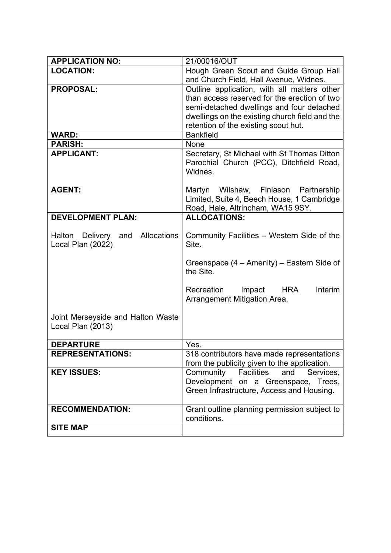| <b>APPLICATION NO:</b>                                 | 21/00016/OUT                                                                       |
|--------------------------------------------------------|------------------------------------------------------------------------------------|
| <b>LOCATION:</b>                                       | Hough Green Scout and Guide Group Hall                                             |
|                                                        | and Church Field, Hall Avenue, Widnes.                                             |
| <b>PROPOSAL:</b>                                       | Outline application, with all matters other                                        |
|                                                        | than access reserved for the erection of two                                       |
|                                                        | semi-detached dwellings and four detached                                          |
|                                                        | dwellings on the existing church field and the                                     |
|                                                        | retention of the existing scout hut.                                               |
| <b>WARD:</b>                                           | <b>Bankfield</b>                                                                   |
| <b>PARISH:</b>                                         | None                                                                               |
| <b>APPLICANT:</b>                                      | Secretary, St Michael with St Thomas Ditton                                        |
|                                                        | Parochial Church (PCC), Ditchfield Road,                                           |
|                                                        | Widnes.                                                                            |
| <b>AGENT:</b>                                          |                                                                                    |
|                                                        | Martyn Wilshaw, Finlason Partnership<br>Limited, Suite 4, Beech House, 1 Cambridge |
|                                                        | Road, Hale, Altrincham, WA15 9SY.                                                  |
| <b>DEVELOPMENT PLAN:</b>                               | <b>ALLOCATIONS:</b>                                                                |
|                                                        |                                                                                    |
| Allocations<br>Halton Delivery and                     | Community Facilities – Western Side of the                                         |
| Local Plan (2022)                                      | Site.                                                                              |
|                                                        |                                                                                    |
|                                                        | Greenspace (4 – Amenity) – Eastern Side of                                         |
|                                                        | the Site.                                                                          |
|                                                        |                                                                                    |
|                                                        | Interim<br>Recreation<br>Impact<br><b>HRA</b>                                      |
|                                                        | Arrangement Mitigation Area.                                                       |
|                                                        |                                                                                    |
| Joint Merseyside and Halton Waste<br>Local Plan (2013) |                                                                                    |
|                                                        |                                                                                    |
| <b>DEPARTURE</b>                                       | Yes.                                                                               |
| <b>REPRESENTATIONS:</b>                                | 318 contributors have made representations                                         |
|                                                        | from the publicity given to the application.                                       |
| <b>KEY ISSUES:</b>                                     | Community<br>Facilities<br>and<br>Services,                                        |
|                                                        | Development on a Greenspace, Trees,                                                |
|                                                        | Green Infrastructure, Access and Housing.                                          |
|                                                        |                                                                                    |
| <b>RECOMMENDATION:</b>                                 | Grant outline planning permission subject to                                       |
|                                                        | conditions.                                                                        |
| <b>SITE MAP</b>                                        |                                                                                    |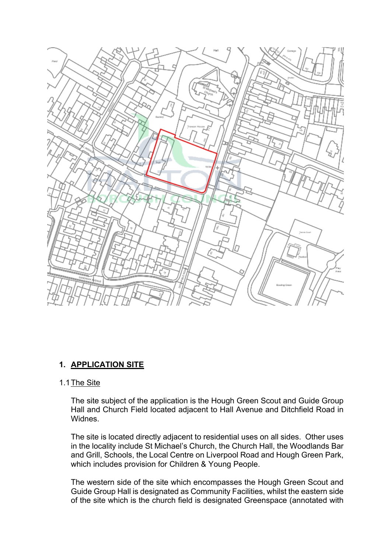

# **1. APPLICATION SITE**

### 1.1The Site

The site subject of the application is the Hough Green Scout and Guide Group Hall and Church Field located adjacent to Hall Avenue and Ditchfield Road in Widnes.

The site is located directly adjacent to residential uses on all sides. Other uses in the locality include St Michael's Church, the Church Hall, the Woodlands Bar and Grill, Schools, the Local Centre on Liverpool Road and Hough Green Park, which includes provision for Children & Young People.

The western side of the site which encompasses the Hough Green Scout and Guide Group Hall is designated as Community Facilities, whilst the eastern side of the site which is the church field is designated Greenspace (annotated with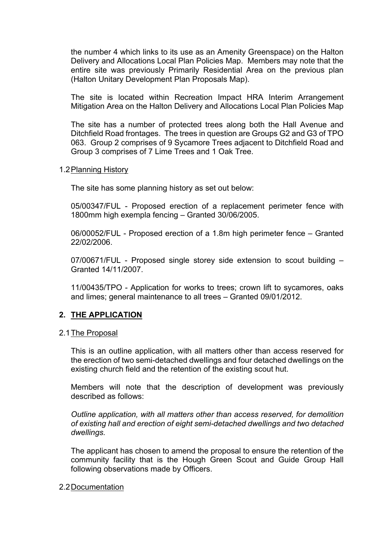the number 4 which links to its use as an Amenity Greenspace) on the Halton Delivery and Allocations Local Plan Policies Map. Members may note that the entire site was previously Primarily Residential Area on the previous plan (Halton Unitary Development Plan Proposals Map).

The site is located within Recreation Impact HRA Interim Arrangement Mitigation Area on the Halton Delivery and Allocations Local Plan Policies Map

The site has a number of protected trees along both the Hall Avenue and Ditchfield Road frontages. The trees in question are Groups G2 and G3 of TPO 063. Group 2 comprises of 9 Sycamore Trees adjacent to Ditchfield Road and Group 3 comprises of 7 Lime Trees and 1 Oak Tree.

### 1.2Planning History

The site has some planning history as set out below:

05/00347/FUL - Proposed erection of a replacement perimeter fence with 1800mm high exempla fencing – Granted 30/06/2005.

06/00052/FUL - Proposed erection of a 1.8m high perimeter fence – Granted 22/02/2006.

07/00671/FUL - Proposed single storey side extension to scout building – Granted 14/11/2007.

11/00435/TPO - Application for works to trees; crown lift to sycamores, oaks and limes; general maintenance to all trees – Granted 09/01/2012.

## **2. THE APPLICATION**

### 2.1The Proposal

This is an outline application, with all matters other than access reserved for the erection of two semi-detached dwellings and four detached dwellings on the existing church field and the retention of the existing scout hut.

Members will note that the description of development was previously described as follows:

*Outline application, with all matters other than access reserved, for demolition of existing hall and erection of eight semi-detached dwellings and two detached dwellings.*

The applicant has chosen to amend the proposal to ensure the retention of the community facility that is the Hough Green Scout and Guide Group Hall following observations made by Officers.

### 2.2Documentation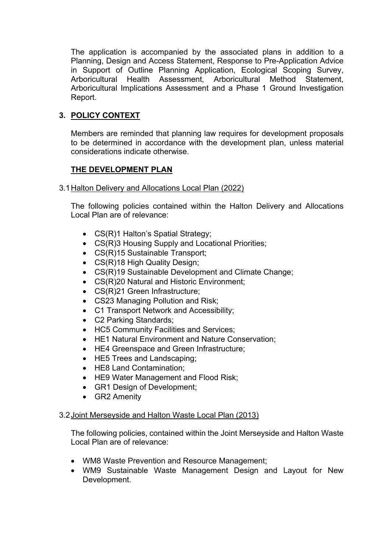The application is accompanied by the associated plans in addition to a Planning, Design and Access Statement, Response to Pre-Application Advice in Support of Outline Planning Application, Ecological Scoping Survey, Arboricultural Health Assessment, Arboricultural Method Statement, Arboricultural Implications Assessment and a Phase 1 Ground Investigation Report.

# **3. POLICY CONTEXT**

Members are reminded that planning law requires for development proposals to be determined in accordance with the development plan, unless material considerations indicate otherwise.

# **THE DEVELOPMENT PLAN**

3.1Halton Delivery and Allocations Local Plan (2022)

The following policies contained within the Halton Delivery and Allocations Local Plan are of relevance:

- CS(R)1 Halton's Spatial Strategy:
- CS(R)3 Housing Supply and Locational Priorities;
- CS(R)15 Sustainable Transport;
- CS(R)18 High Quality Design;
- CS(R)19 Sustainable Development and Climate Change;
- CS(R)20 Natural and Historic Environment;
- CS(R)21 Green Infrastructure;
- CS23 Managing Pollution and Risk;
- C1 Transport Network and Accessibility;
- C2 Parking Standards:
- HC5 Community Facilities and Services;
- HE1 Natural Environment and Nature Conservation;
- HE4 Greenspace and Green Infrastructure;
- HE5 Trees and Landscaping;
- HE8 Land Contamination;
- HE9 Water Management and Flood Risk;
- GR1 Design of Development;
- GR2 Amenity

## 3.2Joint Merseyside and Halton Waste Local Plan (2013)

The following policies, contained within the Joint Merseyside and Halton Waste Local Plan are of relevance:

- WM8 Waste Prevention and Resource Management;
- WM9 Sustainable Waste Management Design and Layout for New Development.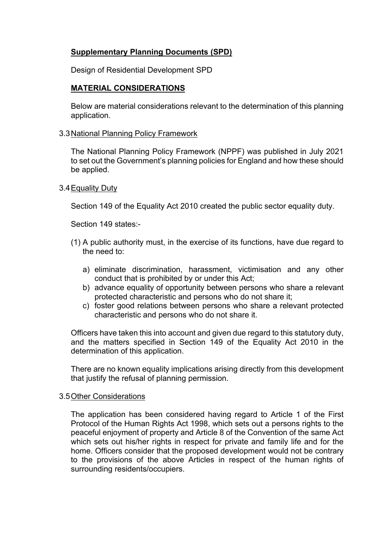# **Supplementary Planning Documents (SPD)**

Design of Residential Development SPD

# **MATERIAL CONSIDERATIONS**

Below are material considerations relevant to the determination of this planning application.

### 3.3National Planning Policy Framework

The National Planning Policy Framework (NPPF) was published in July 2021 to set out the Government's planning policies for England and how these should be applied.

### 3.4Equality Duty

Section 149 of the Equality Act 2010 created the public sector equality duty.

Section 149 states:-

- (1) A public authority must, in the exercise of its functions, have due regard to the need to:
	- a) eliminate discrimination, harassment, victimisation and any other conduct that is prohibited by or under this Act;
	- b) advance equality of opportunity between persons who share a relevant protected characteristic and persons who do not share it;
	- c) foster good relations between persons who share a relevant protected characteristic and persons who do not share it.

Officers have taken this into account and given due regard to this statutory duty, and the matters specified in Section 149 of the Equality Act 2010 in the determination of this application.

There are no known equality implications arising directly from this development that justify the refusal of planning permission.

### 3.5Other Considerations

The application has been considered having regard to Article 1 of the First Protocol of the Human Rights Act 1998, which sets out a persons rights to the peaceful enjoyment of property and Article 8 of the Convention of the same Act which sets out his/her rights in respect for private and family life and for the home. Officers consider that the proposed development would not be contrary to the provisions of the above Articles in respect of the human rights of surrounding residents/occupiers.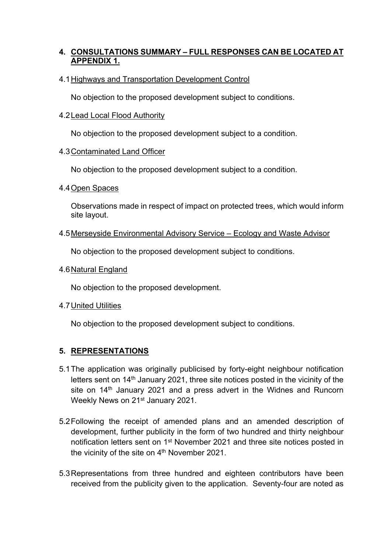# **4. CONSULTATIONS SUMMARY – FULL RESPONSES CAN BE LOCATED AT APPENDIX 1.**

# 4.1Highways and Transportation Development Control

No objection to the proposed development subject to conditions.

## 4.2Lead Local Flood Authority

No objection to the proposed development subject to a condition.

## 4.3Contaminated Land Officer

No objection to the proposed development subject to a condition.

4.4Open Spaces

Observations made in respect of impact on protected trees, which would inform site layout.

4.5Merseyside Environmental Advisory Service – Ecology and Waste Advisor

No objection to the proposed development subject to conditions.

4.6Natural England

No objection to the proposed development.

4.7United Utilities

No objection to the proposed development subject to conditions.

# **5. REPRESENTATIONS**

- 5.1The application was originally publicised by forty-eight neighbour notification letters sent on 14<sup>th</sup> January 2021, three site notices posted in the vicinity of the site on 14<sup>th</sup> January 2021 and a press advert in the Widnes and Runcorn Weekly News on 21<sup>st</sup> January 2021.
- 5.2Following the receipt of amended plans and an amended description of development, further publicity in the form of two hundred and thirty neighbour notification letters sent on 1<sup>st</sup> November 2021 and three site notices posted in the vicinity of the site on 4<sup>th</sup> November 2021.
- 5.3Representations from three hundred and eighteen contributors have been received from the publicity given to the application. Seventy-four are noted as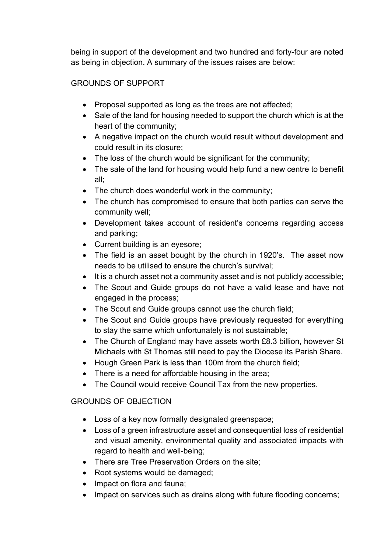being in support of the development and two hundred and forty-four are noted as being in objection. A summary of the issues raises are below:

# GROUNDS OF SUPPORT

- Proposal supported as long as the trees are not affected;
- Sale of the land for housing needed to support the church which is at the heart of the community;
- A negative impact on the church would result without development and could result in its closure;
- The loss of the church would be significant for the community;
- The sale of the land for housing would help fund a new centre to benefit all;
- The church does wonderful work in the community;
- The church has compromised to ensure that both parties can serve the community well;
- Development takes account of resident's concerns regarding access and parking;
- Current building is an eyesore;
- The field is an asset bought by the church in 1920's. The asset now needs to be utilised to ensure the church's survival;
- It is a church asset not a community asset and is not publicly accessible;
- The Scout and Guide groups do not have a valid lease and have not engaged in the process;
- The Scout and Guide groups cannot use the church field;
- The Scout and Guide groups have previously requested for everything to stay the same which unfortunately is not sustainable;
- The Church of England may have assets worth £8.3 billion, however St Michaels with St Thomas still need to pay the Diocese its Parish Share.
- Hough Green Park is less than 100m from the church field;
- There is a need for affordable housing in the area:
- The Council would receive Council Tax from the new properties.

# GROUNDS OF OBJECTION

- Loss of a key now formally designated greenspace;
- Loss of a green infrastructure asset and consequential loss of residential and visual amenity, environmental quality and associated impacts with regard to health and well-being;
- There are Tree Preservation Orders on the site;
- Root systems would be damaged;
- Impact on flora and fauna;
- Impact on services such as drains along with future flooding concerns;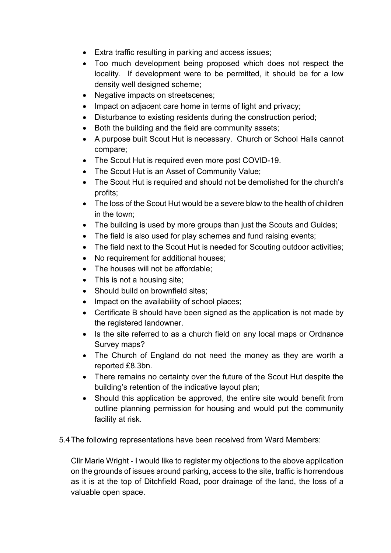- Extra traffic resulting in parking and access issues;
- Too much development being proposed which does not respect the locality. If development were to be permitted, it should be for a low density well designed scheme;
- Negative impacts on streetscenes;
- Impact on adjacent care home in terms of light and privacy;
- Disturbance to existing residents during the construction period;
- Both the building and the field are community assets;
- A purpose built Scout Hut is necessary. Church or School Halls cannot compare;
- The Scout Hut is required even more post COVID-19.
- The Scout Hut is an Asset of Community Value;
- The Scout Hut is required and should not be demolished for the church's profits;
- The loss of the Scout Hut would be a severe blow to the health of children in the town;
- The building is used by more groups than just the Scouts and Guides;
- The field is also used for play schemes and fund raising events;
- The field next to the Scout Hut is needed for Scouting outdoor activities;
- No requirement for additional houses;
- The houses will not be affordable;
- This is not a housing site;
- Should build on brownfield sites;
- Impact on the availability of school places;
- Certificate B should have been signed as the application is not made by the registered landowner.
- Is the site referred to as a church field on any local maps or Ordnance Survey maps?
- The Church of England do not need the money as they are worth a reported £8.3bn.
- There remains no certainty over the future of the Scout Hut despite the building's retention of the indicative layout plan;
- Should this application be approved, the entire site would benefit from outline planning permission for housing and would put the community facility at risk.
- 5.4The following representations have been received from Ward Members:

Cllr Marie Wright - I would like to register my objections to the above application on the grounds of issues around parking, access to the site, traffic is horrendous as it is at the top of Ditchfield Road, poor drainage of the land, the loss of a valuable open space.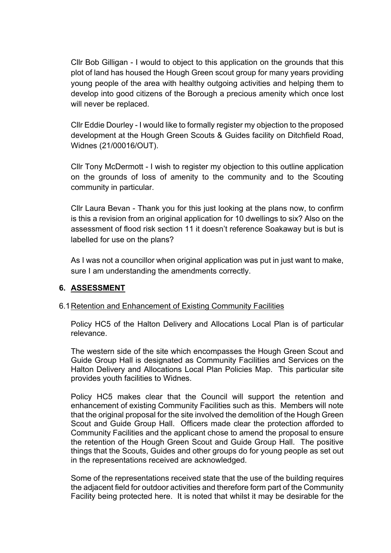Cllr Bob Gilligan - I would to object to this application on the grounds that this plot of land has housed the Hough Green scout group for many years providing young people of the area with healthy outgoing activities and helping them to develop into good citizens of the Borough a precious amenity which once lost will never be replaced.

Cllr Eddie Dourley - I would like to formally register my objection to the proposed development at the Hough Green Scouts & Guides facility on Ditchfield Road, Widnes (21/00016/OUT).

Cllr Tony McDermott - I wish to register my objection to this outline application on the grounds of loss of amenity to the community and to the Scouting community in particular.

Cllr Laura Bevan - Thank you for this just looking at the plans now, to confirm is this a revision from an original application for 10 dwellings to six? Also on the assessment of flood risk section 11 it doesn't reference Soakaway but is but is labelled for use on the plans?

As I was not a councillor when original application was put in just want to make, sure I am understanding the amendments correctly.

# **6. ASSESSMENT**

# 6.1Retention and Enhancement of Existing Community Facilities

Policy HC5 of the Halton Delivery and Allocations Local Plan is of particular relevance.

The western side of the site which encompasses the Hough Green Scout and Guide Group Hall is designated as Community Facilities and Services on the Halton Delivery and Allocations Local Plan Policies Map. This particular site provides youth facilities to Widnes.

Policy HC5 makes clear that the Council will support the retention and enhancement of existing Community Facilities such as this. Members will note that the original proposal for the site involved the demolition of the Hough Green Scout and Guide Group Hall. Officers made clear the protection afforded to Community Facilities and the applicant chose to amend the proposal to ensure the retention of the Hough Green Scout and Guide Group Hall. The positive things that the Scouts, Guides and other groups do for young people as set out in the representations received are acknowledged.

Some of the representations received state that the use of the building requires the adjacent field for outdoor activities and therefore form part of the Community Facility being protected here. It is noted that whilst it may be desirable for the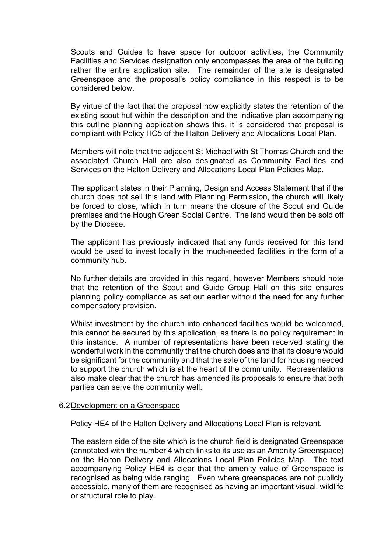Scouts and Guides to have space for outdoor activities, the Community Facilities and Services designation only encompasses the area of the building rather the entire application site. The remainder of the site is designated Greenspace and the proposal's policy compliance in this respect is to be considered below.

By virtue of the fact that the proposal now explicitly states the retention of the existing scout hut within the description and the indicative plan accompanying this outline planning application shows this, it is considered that proposal is compliant with Policy HC5 of the Halton Delivery and Allocations Local Plan.

Members will note that the adjacent St Michael with St Thomas Church and the associated Church Hall are also designated as Community Facilities and Services on the Halton Delivery and Allocations Local Plan Policies Map.

The applicant states in their Planning, Design and Access Statement that if the church does not sell this land with Planning Permission, the church will likely be forced to close, which in turn means the closure of the Scout and Guide premises and the Hough Green Social Centre. The land would then be sold off by the Diocese.

The applicant has previously indicated that any funds received for this land would be used to invest locally in the much-needed facilities in the form of a community hub.

No further details are provided in this regard, however Members should note that the retention of the Scout and Guide Group Hall on this site ensures planning policy compliance as set out earlier without the need for any further compensatory provision.

Whilst investment by the church into enhanced facilities would be welcomed, this cannot be secured by this application, as there is no policy requirement in this instance. A number of representations have been received stating the wonderful work in the community that the church does and that its closure would be significant for the community and that the sale of the land for housing needed to support the church which is at the heart of the community. Representations also make clear that the church has amended its proposals to ensure that both parties can serve the community well.

### 6.2Development on a Greenspace

Policy HE4 of the Halton Delivery and Allocations Local Plan is relevant.

The eastern side of the site which is the church field is designated Greenspace (annotated with the number 4 which links to its use as an Amenity Greenspace) on the Halton Delivery and Allocations Local Plan Policies Map. The text accompanying Policy HE4 is clear that the amenity value of Greenspace is recognised as being wide ranging. Even where greenspaces are not publicly accessible, many of them are recognised as having an important visual, wildlife or structural role to play.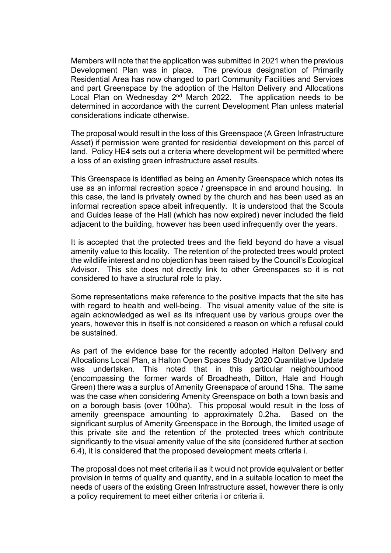Members will note that the application was submitted in 2021 when the previous Development Plan was in place. The previous designation of Primarily Residential Area has now changed to part Community Facilities and Services and part Greenspace by the adoption of the Halton Delivery and Allocations Local Plan on Wednesday  $2<sup>nd</sup>$  March 2022. The application needs to be determined in accordance with the current Development Plan unless material considerations indicate otherwise.

The proposal would result in the loss of this Greenspace (A Green Infrastructure Asset) if permission were granted for residential development on this parcel of land. Policy HE4 sets out a criteria where development will be permitted where a loss of an existing green infrastructure asset results.

This Greenspace is identified as being an Amenity Greenspace which notes its use as an informal recreation space / greenspace in and around housing. In this case, the land is privately owned by the church and has been used as an informal recreation space albeit infrequently. It is understood that the Scouts and Guides lease of the Hall (which has now expired) never included the field adjacent to the building, however has been used infrequently over the years.

It is accepted that the protected trees and the field beyond do have a visual amenity value to this locality. The retention of the protected trees would protect the wildlife interest and no objection has been raised by the Council's Ecological Advisor. This site does not directly link to other Greenspaces so it is not considered to have a structural role to play.

Some representations make reference to the positive impacts that the site has with regard to health and well-being. The visual amenity value of the site is again acknowledged as well as its infrequent use by various groups over the years, however this in itself is not considered a reason on which a refusal could be sustained.

As part of the evidence base for the recently adopted Halton Delivery and Allocations Local Plan, a Halton Open Spaces Study 2020 Quantitative Update was undertaken. This noted that in this particular neighbourhood (encompassing the former wards of Broadheath, Ditton, Hale and Hough Green) there was a surplus of Amenity Greenspace of around 15ha. The same was the case when considering Amenity Greenspace on both a town basis and on a borough basis (over 100ha). This proposal would result in the loss of amenity greenspace amounting to approximately 0.2ha. Based on the significant surplus of Amenity Greenspace in the Borough, the limited usage of this private site and the retention of the protected trees which contribute significantly to the visual amenity value of the site (considered further at section 6.4), it is considered that the proposed development meets criteria i.

The proposal does not meet criteria ii as it would not provide equivalent or better provision in terms of quality and quantity, and in a suitable location to meet the needs of users of the existing Green Infrastructure asset, however there is only a policy requirement to meet either criteria i or criteria ii.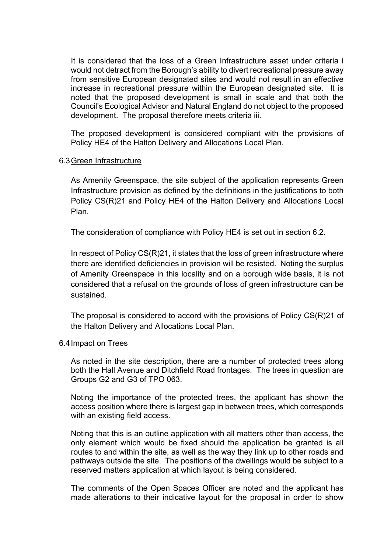It is considered that the loss of a Green Infrastructure asset under criteria i would not detract from the Borough's ability to divert recreational pressure away from sensitive European designated sites and would not result in an effective increase in recreational pressure within the European designated site. It is noted that the proposed development is small in scale and that both the Council's Ecological Advisor and Natural England do not object to the proposed development. The proposal therefore meets criteria iii.

The proposed development is considered compliant with the provisions of Policy HE4 of the Halton Delivery and Allocations Local Plan.

### 6.3Green Infrastructure

As Amenity Greenspace, the site subject of the application represents Green Infrastructure provision as defined by the definitions in the justifications to both Policy CS(R)21 and Policy HE4 of the Halton Delivery and Allocations Local Plan.

The consideration of compliance with Policy HE4 is set out in section 6.2.

In respect of Policy CS(R)21, it states that the loss of green infrastructure where there are identified deficiencies in provision will be resisted. Noting the surplus of Amenity Greenspace in this locality and on a borough wide basis, it is not considered that a refusal on the grounds of loss of green infrastructure can be sustained.

The proposal is considered to accord with the provisions of Policy CS(R)21 of the Halton Delivery and Allocations Local Plan.

### 6.4Impact on Trees

As noted in the site description, there are a number of protected trees along both the Hall Avenue and Ditchfield Road frontages. The trees in question are Groups G2 and G3 of TPO 063.

Noting the importance of the protected trees, the applicant has shown the access position where there is largest gap in between trees, which corresponds with an existing field access.

Noting that this is an outline application with all matters other than access, the only element which would be fixed should the application be granted is all routes to and within the site, as well as the way they link up to other roads and pathways outside the site. The positions of the dwellings would be subject to a reserved matters application at which layout is being considered.

The comments of the Open Spaces Officer are noted and the applicant has made alterations to their indicative layout for the proposal in order to show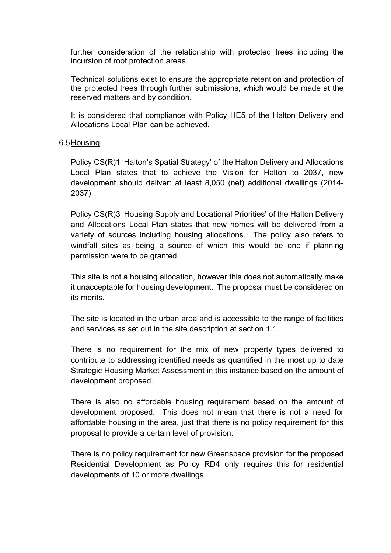further consideration of the relationship with protected trees including the incursion of root protection areas.

Technical solutions exist to ensure the appropriate retention and protection of the protected trees through further submissions, which would be made at the reserved matters and by condition.

It is considered that compliance with Policy HE5 of the Halton Delivery and Allocations Local Plan can be achieved.

### 6.5Housing

Policy CS(R)1 'Halton's Spatial Strategy' of the Halton Delivery and Allocations Local Plan states that to achieve the Vision for Halton to 2037, new development should deliver: at least 8,050 (net) additional dwellings (2014- 2037).

Policy CS(R)3 'Housing Supply and Locational Priorities' of the Halton Delivery and Allocations Local Plan states that new homes will be delivered from a variety of sources including housing allocations. The policy also refers to windfall sites as being a source of which this would be one if planning permission were to be granted.

This site is not a housing allocation, however this does not automatically make it unacceptable for housing development. The proposal must be considered on its merits.

The site is located in the urban area and is accessible to the range of facilities and services as set out in the site description at section 1.1.

There is no requirement for the mix of new property types delivered to contribute to addressing identified needs as quantified in the most up to date Strategic Housing Market Assessment in this instance based on the amount of development proposed.

There is also no affordable housing requirement based on the amount of development proposed. This does not mean that there is not a need for affordable housing in the area, just that there is no policy requirement for this proposal to provide a certain level of provision.

There is no policy requirement for new Greenspace provision for the proposed Residential Development as Policy RD4 only requires this for residential developments of 10 or more dwellings.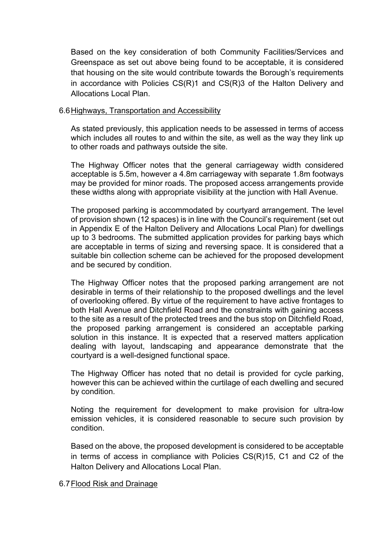Based on the key consideration of both Community Facilities/Services and Greenspace as set out above being found to be acceptable, it is considered that housing on the site would contribute towards the Borough's requirements in accordance with Policies CS(R)1 and CS(R)3 of the Halton Delivery and Allocations Local Plan.

### 6.6Highways, Transportation and Accessibility

As stated previously, this application needs to be assessed in terms of access which includes all routes to and within the site, as well as the way they link up to other roads and pathways outside the site.

The Highway Officer notes that the general carriageway width considered acceptable is 5.5m, however a 4.8m carriageway with separate 1.8m footways may be provided for minor roads. The proposed access arrangements provide these widths along with appropriate visibility at the junction with Hall Avenue.

The proposed parking is accommodated by courtyard arrangement. The level of provision shown (12 spaces) is in line with the Council's requirement (set out in Appendix E of the Halton Delivery and Allocations Local Plan) for dwellings up to 3 bedrooms. The submitted application provides for parking bays which are acceptable in terms of sizing and reversing space. It is considered that a suitable bin collection scheme can be achieved for the proposed development and be secured by condition.

The Highway Officer notes that the proposed parking arrangement are not desirable in terms of their relationship to the proposed dwellings and the level of overlooking offered. By virtue of the requirement to have active frontages to both Hall Avenue and Ditchfield Road and the constraints with gaining access to the site as a result of the protected trees and the bus stop on Ditchfield Road, the proposed parking arrangement is considered an acceptable parking solution in this instance. It is expected that a reserved matters application dealing with layout, landscaping and appearance demonstrate that the courtyard is a well-designed functional space.

The Highway Officer has noted that no detail is provided for cycle parking, however this can be achieved within the curtilage of each dwelling and secured by condition.

Noting the requirement for development to make provision for ultra-low emission vehicles, it is considered reasonable to secure such provision by condition.

Based on the above, the proposed development is considered to be acceptable in terms of access in compliance with Policies CS(R)15, C1 and C2 of the Halton Delivery and Allocations Local Plan.

### 6.7Flood Risk and Drainage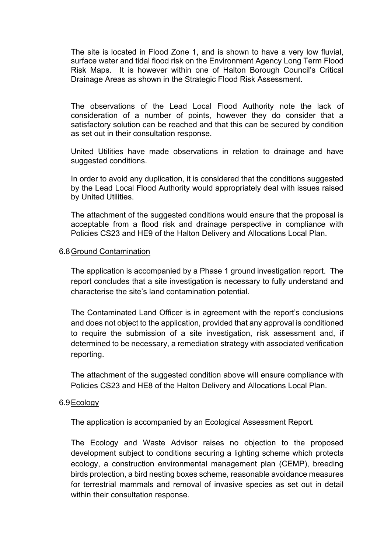The site is located in Flood Zone 1, and is shown to have a very low fluvial, surface water and tidal flood risk on the Environment Agency Long Term Flood Risk Maps. It is however within one of Halton Borough Council's Critical Drainage Areas as shown in the Strategic Flood Risk Assessment.

The observations of the Lead Local Flood Authority note the lack of consideration of a number of points, however they do consider that a satisfactory solution can be reached and that this can be secured by condition as set out in their consultation response.

United Utilities have made observations in relation to drainage and have suggested conditions.

In order to avoid any duplication, it is considered that the conditions suggested by the Lead Local Flood Authority would appropriately deal with issues raised by United Utilities.

The attachment of the suggested conditions would ensure that the proposal is acceptable from a flood risk and drainage perspective in compliance with Policies CS23 and HE9 of the Halton Delivery and Allocations Local Plan.

### 6.8Ground Contamination

The application is accompanied by a Phase 1 ground investigation report. The report concludes that a site investigation is necessary to fully understand and characterise the site's land contamination potential.

The Contaminated Land Officer is in agreement with the report's conclusions and does not object to the application, provided that any approval is conditioned to require the submission of a site investigation, risk assessment and, if determined to be necessary, a remediation strategy with associated verification reporting.

The attachment of the suggested condition above will ensure compliance with Policies CS23 and HE8 of the Halton Delivery and Allocations Local Plan.

### 6.9Ecology

The application is accompanied by an Ecological Assessment Report.

The Ecology and Waste Advisor raises no objection to the proposed development subject to conditions securing a lighting scheme which protects ecology, a construction environmental management plan (CEMP), breeding birds protection, a bird nesting boxes scheme, reasonable avoidance measures for terrestrial mammals and removal of invasive species as set out in detail within their consultation response.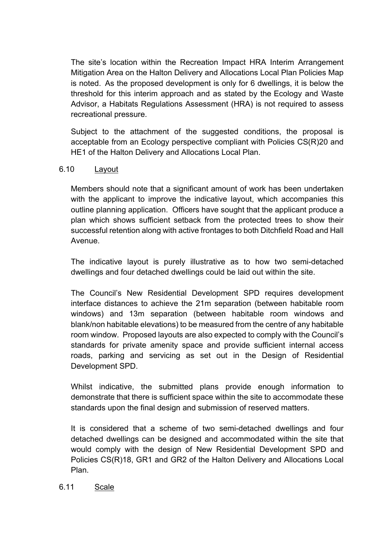The site's location within the Recreation Impact HRA Interim Arrangement Mitigation Area on the Halton Delivery and Allocations Local Plan Policies Map is noted. As the proposed development is only for 6 dwellings, it is below the threshold for this interim approach and as stated by the Ecology and Waste Advisor, a Habitats Regulations Assessment (HRA) is not required to assess recreational pressure.

Subject to the attachment of the suggested conditions, the proposal is acceptable from an Ecology perspective compliant with Policies CS(R)20 and HE1 of the Halton Delivery and Allocations Local Plan.

# 6.10 Layout

Members should note that a significant amount of work has been undertaken with the applicant to improve the indicative layout, which accompanies this outline planning application. Officers have sought that the applicant produce a plan which shows sufficient setback from the protected trees to show their successful retention along with active frontages to both Ditchfield Road and Hall Avenue.

The indicative layout is purely illustrative as to how two semi-detached dwellings and four detached dwellings could be laid out within the site.

The Council's New Residential Development SPD requires development interface distances to achieve the 21m separation (between habitable room windows) and 13m separation (between habitable room windows and blank/non habitable elevations) to be measured from the centre of any habitable room window. Proposed layouts are also expected to comply with the Council's standards for private amenity space and provide sufficient internal access roads, parking and servicing as set out in the Design of Residential Development SPD.

Whilst indicative, the submitted plans provide enough information to demonstrate that there is sufficient space within the site to accommodate these standards upon the final design and submission of reserved matters.

It is considered that a scheme of two semi-detached dwellings and four detached dwellings can be designed and accommodated within the site that would comply with the design of New Residential Development SPD and Policies CS(R)18, GR1 and GR2 of the Halton Delivery and Allocations Local Plan.

### 6.11 Scale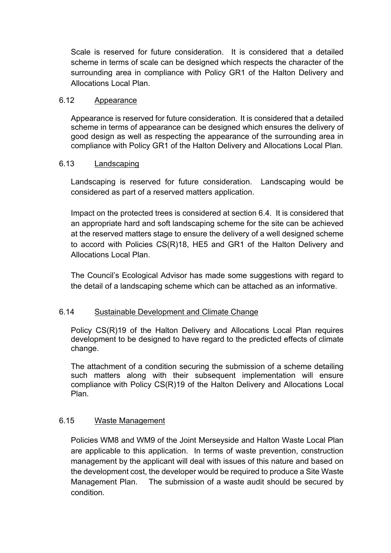Scale is reserved for future consideration. It is considered that a detailed scheme in terms of scale can be designed which respects the character of the surrounding area in compliance with Policy GR1 of the Halton Delivery and Allocations Local Plan.

## 6.12 Appearance

Appearance is reserved for future consideration. It is considered that a detailed scheme in terms of appearance can be designed which ensures the delivery of good design as well as respecting the appearance of the surrounding area in compliance with Policy GR1 of the Halton Delivery and Allocations Local Plan.

# 6.13 Landscaping

Landscaping is reserved for future consideration. Landscaping would be considered as part of a reserved matters application.

Impact on the protected trees is considered at section 6.4. It is considered that an appropriate hard and soft landscaping scheme for the site can be achieved at the reserved matters stage to ensure the delivery of a well designed scheme to accord with Policies CS(R)18, HE5 and GR1 of the Halton Delivery and Allocations Local Plan.

The Council's Ecological Advisor has made some suggestions with regard to the detail of a landscaping scheme which can be attached as an informative.

# 6.14 Sustainable Development and Climate Change

Policy CS(R)19 of the Halton Delivery and Allocations Local Plan requires development to be designed to have regard to the predicted effects of climate change.

The attachment of a condition securing the submission of a scheme detailing such matters along with their subsequent implementation will ensure compliance with Policy CS(R)19 of the Halton Delivery and Allocations Local Plan.

# 6.15 Waste Management

Policies WM8 and WM9 of the Joint Merseyside and Halton Waste Local Plan are applicable to this application. In terms of waste prevention, construction management by the applicant will deal with issues of this nature and based on the development cost, the developer would be required to produce a Site Waste Management Plan. The submission of a waste audit should be secured by condition.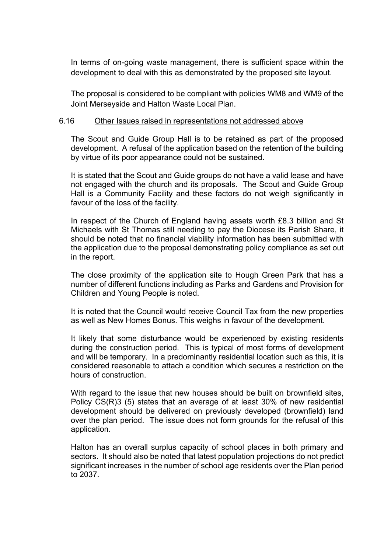In terms of on-going waste management, there is sufficient space within the development to deal with this as demonstrated by the proposed site layout.

The proposal is considered to be compliant with policies WM8 and WM9 of the Joint Merseyside and Halton Waste Local Plan.

### 6.16 Other Issues raised in representations not addressed above

The Scout and Guide Group Hall is to be retained as part of the proposed development. A refusal of the application based on the retention of the building by virtue of its poor appearance could not be sustained.

It is stated that the Scout and Guide groups do not have a valid lease and have not engaged with the church and its proposals. The Scout and Guide Group Hall is a Community Facility and these factors do not weigh significantly in favour of the loss of the facility.

In respect of the Church of England having assets worth £8.3 billion and St Michaels with St Thomas still needing to pay the Diocese its Parish Share, it should be noted that no financial viability information has been submitted with the application due to the proposal demonstrating policy compliance as set out in the report.

The close proximity of the application site to Hough Green Park that has a number of different functions including as Parks and Gardens and Provision for Children and Young People is noted.

It is noted that the Council would receive Council Tax from the new properties as well as New Homes Bonus. This weighs in favour of the development.

It likely that some disturbance would be experienced by existing residents during the construction period. This is typical of most forms of development and will be temporary. In a predominantly residential location such as this, it is considered reasonable to attach a condition which secures a restriction on the hours of construction.

With regard to the issue that new houses should be built on brownfield sites, Policy CS(R)3 (5) states that an average of at least 30% of new residential development should be delivered on previously developed (brownfield) land over the plan period. The issue does not form grounds for the refusal of this application.

Halton has an overall surplus capacity of school places in both primary and sectors. It should also be noted that latest population projections do not predict significant increases in the number of school age residents over the Plan period to 2037.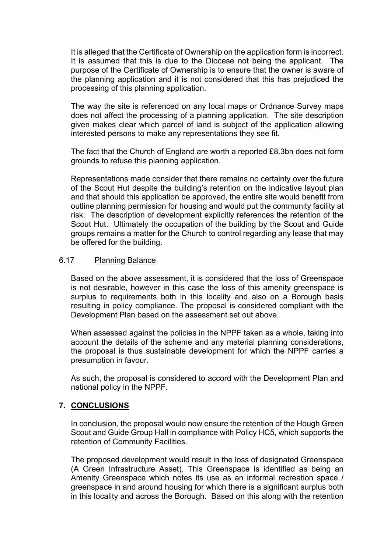It is alleged that the Certificate of Ownership on the application form is incorrect. It is assumed that this is due to the Diocese not being the applicant. The purpose of the Certificate of Ownership is to ensure that the owner is aware of the planning application and it is not considered that this has prejudiced the processing of this planning application.

The way the site is referenced on any local maps or Ordnance Survey maps does not affect the processing of a planning application. The site description given makes clear which parcel of land is subject of the application allowing interested persons to make any representations they see fit.

The fact that the Church of England are worth a reported £8.3bn does not form grounds to refuse this planning application.

Representations made consider that there remains no certainty over the future of the Scout Hut despite the building's retention on the indicative layout plan and that should this application be approved, the entire site would benefit from outline planning permission for housing and would put the community facility at risk. The description of development explicitly references the retention of the Scout Hut. Ultimately the occupation of the building by the Scout and Guide groups remains a matter for the Church to control regarding any lease that may be offered for the building.

### 6.17 Planning Balance

Based on the above assessment, it is considered that the loss of Greenspace is not desirable, however in this case the loss of this amenity greenspace is surplus to requirements both in this locality and also on a Borough basis resulting in policy compliance. The proposal is considered compliant with the Development Plan based on the assessment set out above.

When assessed against the policies in the NPPF taken as a whole, taking into account the details of the scheme and any material planning considerations, the proposal is thus sustainable development for which the NPPF carries a presumption in favour.

As such, the proposal is considered to accord with the Development Plan and national policy in the NPPF.

## **7. CONCLUSIONS**

In conclusion, the proposal would now ensure the retention of the Hough Green Scout and Guide Group Hall in compliance with Policy HC5, which supports the retention of Community Facilities.

The proposed development would result in the loss of designated Greenspace (A Green Infrastructure Asset). This Greenspace is identified as being an Amenity Greenspace which notes its use as an informal recreation space / greenspace in and around housing for which there is a significant surplus both in this locality and across the Borough. Based on this along with the retention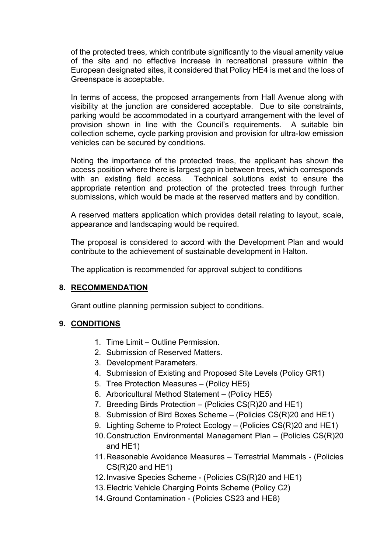of the protected trees, which contribute significantly to the visual amenity value of the site and no effective increase in recreational pressure within the European designated sites, it considered that Policy HE4 is met and the loss of Greenspace is acceptable.

In terms of access, the proposed arrangements from Hall Avenue along with visibility at the junction are considered acceptable. Due to site constraints, parking would be accommodated in a courtyard arrangement with the level of provision shown in line with the Council's requirements. A suitable bin collection scheme, cycle parking provision and provision for ultra-low emission vehicles can be secured by conditions.

Noting the importance of the protected trees, the applicant has shown the access position where there is largest gap in between trees, which corresponds with an existing field access. Technical solutions exist to ensure the appropriate retention and protection of the protected trees through further submissions, which would be made at the reserved matters and by condition.

A reserved matters application which provides detail relating to layout, scale, appearance and landscaping would be required.

The proposal is considered to accord with the Development Plan and would contribute to the achievement of sustainable development in Halton.

The application is recommended for approval subject to conditions

## **8. RECOMMENDATION**

Grant outline planning permission subject to conditions.

## **9. CONDITIONS**

- 1. Time Limit Outline Permission.
- 2. Submission of Reserved Matters.
- 3. Development Parameters.
- 4. Submission of Existing and Proposed Site Levels (Policy GR1)
- 5. Tree Protection Measures (Policy HE5)
- 6. Arboricultural Method Statement (Policy HE5)
- 7. Breeding Birds Protection (Policies CS(R)20 and HE1)
- 8. Submission of Bird Boxes Scheme (Policies CS(R)20 and HE1)
- 9. Lighting Scheme to Protect Ecology (Policies CS(R)20 and HE1)
- 10.Construction Environmental Management Plan (Policies CS(R)20 and HE1)
- 11.Reasonable Avoidance Measures Terrestrial Mammals (Policies  $CS(R)20$  and  $HE1$ )
- 12.Invasive Species Scheme (Policies CS(R)20 and HE1)
- 13.Electric Vehicle Charging Points Scheme (Policy C2)
- 14.Ground Contamination (Policies CS23 and HE8)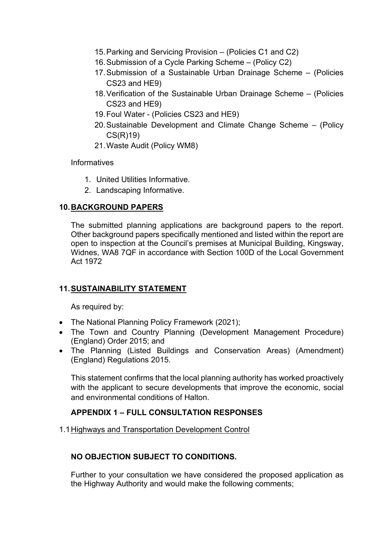- 15.Parking and Servicing Provision (Policies C1 and C2)
- 16.Submission of a Cycle Parking Scheme (Policy C2)
- 17.Submission of a Sustainable Urban Drainage Scheme (Policies CS23 and HE9)
- 18.Verification of the Sustainable Urban Drainage Scheme (Policies CS23 and HE9)
- 19.Foul Water (Policies CS23 and HE9)
- 20.Sustainable Development and Climate Change Scheme (Policy CS(R)19)
- 21.Waste Audit (Policy WM8)

Informatives

- 1. United Utilities Informative.
- 2. Landscaping Informative.

## **10.BACKGROUND PAPERS**

The submitted planning applications are background papers to the report. Other background papers specifically mentioned and listed within the report are open to inspection at the Council's premises at Municipal Building, Kingsway, Widnes, WA8 7QF in accordance with Section 100D of the Local Government Act 1972

# **11.SUSTAINABILITY STATEMENT**

As required by:

- The National Planning Policy Framework (2021);
- The Town and Country Planning (Development Management Procedure) (England) Order 2015; and
- The Planning (Listed Buildings and Conservation Areas) (Amendment) (England) Regulations 2015.

This statement confirms that the local planning authority has worked proactively with the applicant to secure developments that improve the economic, social and environmental conditions of Halton.

# **APPENDIX 1 – FULL CONSULTATION RESPONSES**

1.1Highways and Transportation Development Control

# **NO OBJECTION SUBJECT TO CONDITIONS.**

Further to your consultation we have considered the proposed application as the Highway Authority and would make the following comments;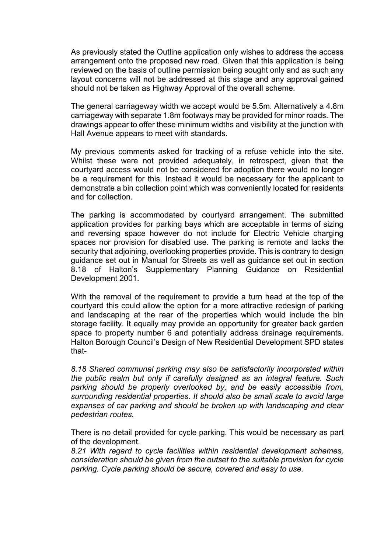As previously stated the Outline application only wishes to address the access arrangement onto the proposed new road. Given that this application is being reviewed on the basis of outline permission being sought only and as such any layout concerns will not be addressed at this stage and any approval gained should not be taken as Highway Approval of the overall scheme.

The general carriageway width we accept would be 5.5m. Alternatively a 4.8m carriageway with separate 1.8m footways may be provided for minor roads. The drawings appear to offer these minimum widths and visibility at the junction with Hall Avenue appears to meet with standards.

My previous comments asked for tracking of a refuse vehicle into the site. Whilst these were not provided adequately, in retrospect, given that the courtyard access would not be considered for adoption there would no longer be a requirement for this. Instead it would be necessary for the applicant to demonstrate a bin collection point which was conveniently located for residents and for collection.

The parking is accommodated by courtyard arrangement. The submitted application provides for parking bays which are acceptable in terms of sizing and reversing space however do not include for Electric Vehicle charging spaces nor provision for disabled use. The parking is remote and lacks the security that adjoining, overlooking properties provide. This is contrary to design guidance set out in Manual for Streets as well as guidance set out in section 8.18 of Halton's Supplementary Planning Guidance on Residential Development 2001.

With the removal of the requirement to provide a turn head at the top of the courtyard this could allow the option for a more attractive redesign of parking and landscaping at the rear of the properties which would include the bin storage facility. It equally may provide an opportunity for greater back garden space to property number 6 and potentially address drainage requirements. Halton Borough Council's Design of New Residential Development SPD states that-

*8.18 Shared communal parking may also be satisfactorily incorporated within the public realm but only if carefully designed as an integral feature. Such parking should be properly overlooked by, and be easily accessible from, surrounding residential properties. It should also be small scale to avoid large expanses of car parking and should be broken up with landscaping and clear pedestrian routes.*

There is no detail provided for cycle parking. This would be necessary as part of the development.

*8.21 With regard to cycle facilities within residential development schemes, consideration should be given from the outset to the suitable provision for cycle parking. Cycle parking should be secure, covered and easy to use.*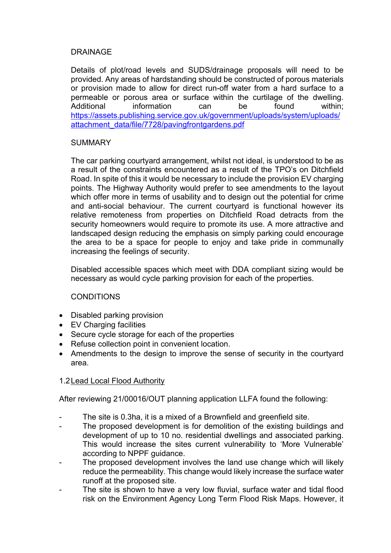# DRAINAGE

Details of plot/road levels and SUDS/drainage proposals will need to be provided. Any areas of hardstanding should be constructed of porous materials or provision made to allow for direct run-off water from a hard surface to a permeable or porous area or surface within the curtilage of the dwelling. Additional information can be found within: [https://assets.publishing.service.gov.uk/government/uploads/system/uploads/](https://assets.publishing.service.gov.uk/government/uploads/system/uploads/attachment_data/file/7728/pavingfrontgardens.pdf) [attachment\\_data/file/7728/pavingfrontgardens.pdf](https://assets.publishing.service.gov.uk/government/uploads/system/uploads/attachment_data/file/7728/pavingfrontgardens.pdf)

# **SUMMARY**

The car parking courtyard arrangement, whilst not ideal, is understood to be as a result of the constraints encountered as a result of the TPO's on Ditchfield Road. In spite of this it would be necessary to include the provision EV charging points. The Highway Authority would prefer to see amendments to the layout which offer more in terms of usability and to design out the potential for crime and anti-social behaviour. The current courtyard is functional however its relative remoteness from properties on Ditchfield Road detracts from the security homeowners would require to promote its use. A more attractive and landscaped design reducing the emphasis on simply parking could encourage the area to be a space for people to enjoy and take pride in communally increasing the feelings of security.

Disabled accessible spaces which meet with DDA compliant sizing would be necessary as would cycle parking provision for each of the properties.

# **CONDITIONS**

- Disabled parking provision
- EV Charging facilities
- Secure cycle storage for each of the properties
- Refuse collection point in convenient location.
- Amendments to the design to improve the sense of security in the courtyard area.

# 1.2Lead Local Flood Authority

After reviewing 21/00016/OUT planning application LLFA found the following:

- The site is 0.3ha, it is a mixed of a Brownfield and greenfield site.
- The proposed development is for demolition of the existing buildings and development of up to 10 no. residential dwellings and associated parking. This would increase the sites current vulnerability to 'More Vulnerable' according to NPPF guidance.
- The proposed development involves the land use change which will likely reduce the permeability. This change would likely increase the surface water runoff at the proposed site.
- The site is shown to have a very low fluvial, surface water and tidal flood risk on the Environment Agency Long Term Flood Risk Maps. However, it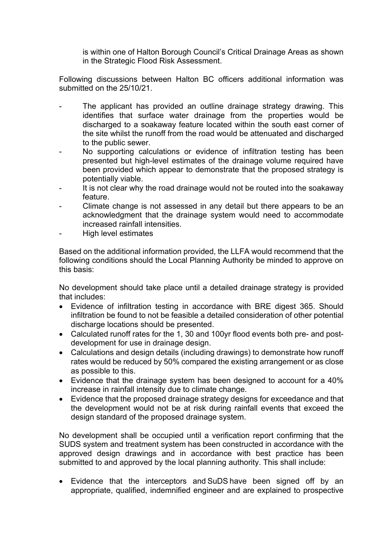is within one of Halton Borough Council's Critical Drainage Areas as shown in the Strategic Flood Risk Assessment.

Following discussions between Halton BC officers additional information was submitted on the 25/10/21.

- The applicant has provided an outline drainage strategy drawing. This identifies that surface water drainage from the properties would be discharged to a soakaway feature located within the south east corner of the site whilst the runoff from the road would be attenuated and discharged to the public sewer.
- No supporting calculations or evidence of infiltration testing has been presented but high-level estimates of the drainage volume required have been provided which appear to demonstrate that the proposed strategy is potentially viable.
- It is not clear why the road drainage would not be routed into the soakaway feature.
- Climate change is not assessed in any detail but there appears to be an acknowledgment that the drainage system would need to accommodate increased rainfall intensities.
- High level estimates

Based on the additional information provided, the LLFA would recommend that the following conditions should the Local Planning Authority be minded to approve on this basis:

No development should take place until a detailed drainage strategy is provided that includes:

- Evidence of infiltration testing in accordance with BRE digest 365. Should infiltration be found to not be feasible a detailed consideration of other potential discharge locations should be presented.
- Calculated runoff rates for the 1, 30 and 100yr flood events both pre- and postdevelopment for use in drainage design.
- Calculations and design details (including drawings) to demonstrate how runoff rates would be reduced by 50% compared the existing arrangement or as close as possible to this.
- Evidence that the drainage system has been designed to account for a 40% increase in rainfall intensity due to climate change.
- Evidence that the proposed drainage strategy designs for exceedance and that the development would not be at risk during rainfall events that exceed the design standard of the proposed drainage system.

No development shall be occupied until a verification report confirming that the SUDS system and treatment system has been constructed in accordance with the approved design drawings and in accordance with best practice has been submitted to and approved by the local planning authority. This shall include: 

 Evidence that the interceptors and SuDS have been signed off by an appropriate, qualified, indemnified engineer and are explained to prospective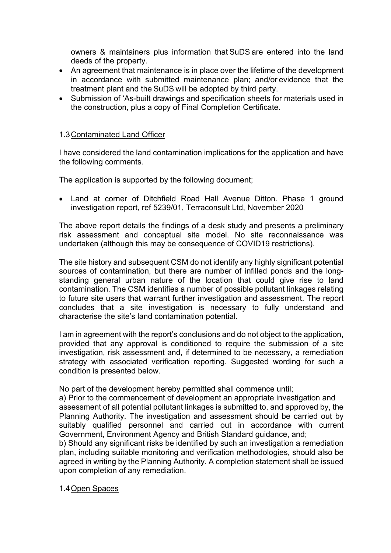owners & maintainers plus information that SuDS are entered into the land deeds of the property.  

- An agreement that maintenance is in place over the lifetime of the development in accordance with submitted maintenance plan; and/or evidence that the treatment plant and the SuDS will be adopted by third party.
- Submission of 'As-built drawings and specification sheets for materials used in the construction, plus a copy of Final Completion Certificate.

# 1.3Contaminated Land Officer

I have considered the land contamination implications for the application and have the following comments.

The application is supported by the following document;

• Land at corner of Ditchfield Road Hall Avenue Ditton. Phase 1 ground investigation report, ref 5239/01, Terraconsult Ltd, November 2020

The above report details the findings of a desk study and presents a preliminary risk assessment and conceptual site model. No site reconnaissance was undertaken (although this may be consequence of COVID19 restrictions).

The site history and subsequent CSM do not identify any highly significant potential sources of contamination, but there are number of infilled ponds and the longstanding general urban nature of the location that could give rise to land contamination. The CSM identifies a number of possible pollutant linkages relating to future site users that warrant further investigation and assessment. The report concludes that a site investigation is necessary to fully understand and characterise the site's land contamination potential.

I am in agreement with the report's conclusions and do not object to the application, provided that any approval is conditioned to require the submission of a site investigation, risk assessment and, if determined to be necessary, a remediation strategy with associated verification reporting. Suggested wording for such a condition is presented below.

No part of the development hereby permitted shall commence until;

a) Prior to the commencement of development an appropriate investigation and assessment of all potential pollutant linkages is submitted to, and approved by, the Planning Authority. The investigation and assessment should be carried out by suitably qualified personnel and carried out in accordance with current Government, Environment Agency and British Standard guidance, and;

b) Should any significant risks be identified by such an investigation a remediation plan, including suitable monitoring and verification methodologies, should also be agreed in writing by the Planning Authority. A completion statement shall be issued upon completion of any remediation.

## 1.4Open Spaces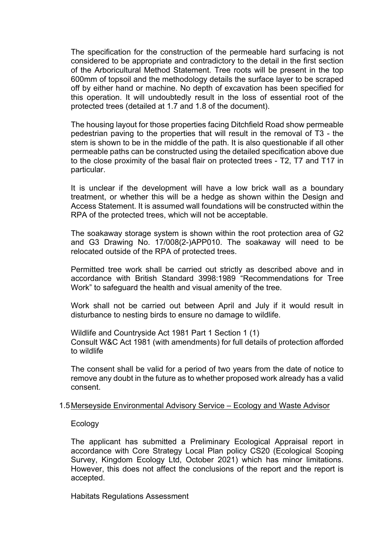The specification for the construction of the permeable hard surfacing is not considered to be appropriate and contradictory to the detail in the first section of the Arboricultural Method Statement. Tree roots will be present in the top 600mm of topsoil and the methodology details the surface layer to be scraped off by either hand or machine. No depth of excavation has been specified for this operation. It will undoubtedly result in the loss of essential root of the protected trees (detailed at 1.7 and 1.8 of the document).

The housing layout for those properties facing Ditchfield Road show permeable pedestrian paving to the properties that will result in the removal of T3 - the stem is shown to be in the middle of the path. It is also questionable if all other permeable paths can be constructed using the detailed specification above due to the close proximity of the basal flair on protected trees - T2, T7 and T17 in particular.

It is unclear if the development will have a low brick wall as a boundary treatment, or whether this will be a hedge as shown within the Design and Access Statement. It is assumed wall foundations will be constructed within the RPA of the protected trees, which will not be acceptable.

The soakaway storage system is shown within the root protection area of G2 and G3 Drawing No. 17/008(2-)APP010. The soakaway will need to be relocated outside of the RPA of protected trees.

Permitted tree work shall be carried out strictly as described above and in accordance with British Standard 3998:1989 "Recommendations for Tree Work" to safeguard the health and visual amenity of the tree.

Work shall not be carried out between April and July if it would result in disturbance to nesting birds to ensure no damage to wildlife.

Wildlife and Countryside Act 1981 Part 1 Section 1 (1) Consult W&C Act 1981 (with amendments) for full details of protection afforded to wildlife

The consent shall be valid for a period of two years from the date of notice to remove any doubt in the future as to whether proposed work already has a valid consent.

### 1.5Merseyside Environmental Advisory Service – Ecology and Waste Advisor

**Ecology** 

The applicant has submitted a Preliminary Ecological Appraisal report in accordance with Core Strategy Local Plan policy CS20 (Ecological Scoping Survey, Kingdom Ecology Ltd, October 2021) which has minor limitations. However, this does not affect the conclusions of the report and the report is accepted.

Habitats Regulations Assessment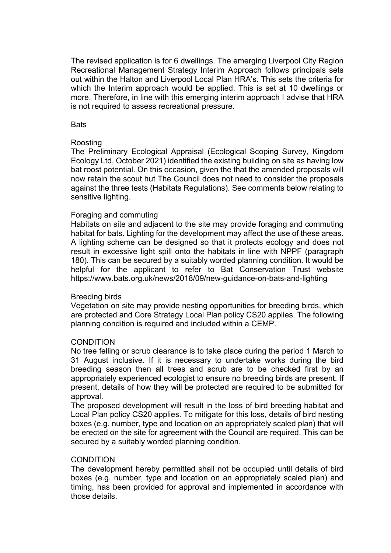The revised application is for 6 dwellings. The emerging Liverpool City Region Recreational Management Strategy Interim Approach follows principals sets out within the Halton and Liverpool Local Plan HRA's. This sets the criteria for which the Interim approach would be applied. This is set at 10 dwellings or more. Therefore, in line with this emerging interim approach I advise that HRA is not required to assess recreational pressure.

### **Bats**

### Roosting

The Preliminary Ecological Appraisal (Ecological Scoping Survey, Kingdom Ecology Ltd, October 2021) identified the existing building on site as having low bat roost potential. On this occasion, given the that the amended proposals will now retain the scout hut The Council does not need to consider the proposals against the three tests (Habitats Regulations). See comments below relating to sensitive lighting.

### Foraging and commuting

Habitats on site and adjacent to the site may provide foraging and commuting habitat for bats. Lighting for the development may affect the use of these areas. A lighting scheme can be designed so that it protects ecology and does not result in excessive light spill onto the habitats in line with NPPF (paragraph 180). This can be secured by a suitably worded planning condition. It would be helpful for the applicant to refer to Bat Conservation Trust website https://www.bats.org.uk/news/2018/09/new-guidance-on-bats-and-lighting

### Breeding birds

Vegetation on site may provide nesting opportunities for breeding birds, which are protected and Core Strategy Local Plan policy CS20 applies. The following planning condition is required and included within a CEMP.

### **CONDITION**

No tree felling or scrub clearance is to take place during the period 1 March to 31 August inclusive. If it is necessary to undertake works during the bird breeding season then all trees and scrub are to be checked first by an appropriately experienced ecologist to ensure no breeding birds are present. If present, details of how they will be protected are required to be submitted for approval.

The proposed development will result in the loss of bird breeding habitat and Local Plan policy CS20 applies. To mitigate for this loss, details of bird nesting boxes (e.g. number, type and location on an appropriately scaled plan) that will be erected on the site for agreement with the Council are required. This can be secured by a suitably worded planning condition.

### **CONDITION**

The development hereby permitted shall not be occupied until details of bird boxes (e.g. number, type and location on an appropriately scaled plan) and timing, has been provided for approval and implemented in accordance with those details.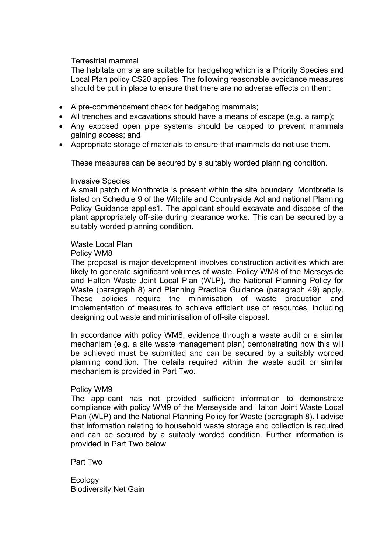Terrestrial mammal

The habitats on site are suitable for hedgehog which is a Priority Species and Local Plan policy CS20 applies. The following reasonable avoidance measures should be put in place to ensure that there are no adverse effects on them:

- A pre-commencement check for hedgehog mammals;
- All trenches and excavations should have a means of escape (e.g. a ramp);
- Any exposed open pipe systems should be capped to prevent mammals gaining access; and
- Appropriate storage of materials to ensure that mammals do not use them.

These measures can be secured by a suitably worded planning condition.

#### Invasive Species

A small patch of Montbretia is present within the site boundary. Montbretia is listed on Schedule 9 of the Wildlife and Countryside Act and national Planning Policy Guidance applies1. The applicant should excavate and dispose of the plant appropriately off-site during clearance works. This can be secured by a suitably worded planning condition.

### Waste Local Plan

Policy WM8

The proposal is major development involves construction activities which are likely to generate significant volumes of waste. Policy WM8 of the Merseyside and Halton Waste Joint Local Plan (WLP), the National Planning Policy for Waste (paragraph 8) and Planning Practice Guidance (paragraph 49) apply. These policies require the minimisation of waste production and implementation of measures to achieve efficient use of resources, including designing out waste and minimisation of off-site disposal.

In accordance with policy WM8, evidence through a waste audit or a similar mechanism (e.g. a site waste management plan) demonstrating how this will be achieved must be submitted and can be secured by a suitably worded planning condition. The details required within the waste audit or similar mechanism is provided in Part Two.

### Policy WM9

The applicant has not provided sufficient information to demonstrate compliance with policy WM9 of the Merseyside and Halton Joint Waste Local Plan (WLP) and the National Planning Policy for Waste (paragraph 8). I advise that information relating to household waste storage and collection is required and can be secured by a suitably worded condition. Further information is provided in Part Two below.

Part Two

**Ecology** Biodiversity Net Gain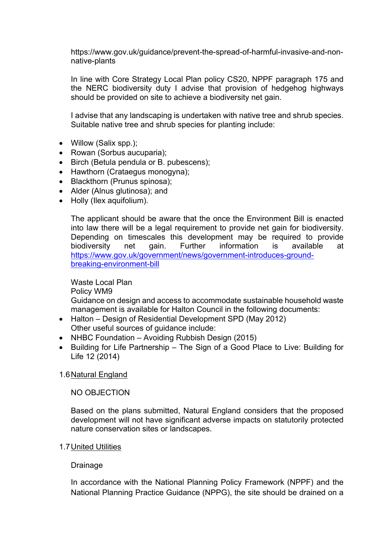https://www.gov.uk/guidance/prevent-the-spread-of-harmful-invasive-and-nonnative-plants

In line with Core Strategy Local Plan policy CS20, NPPF paragraph 175 and the NERC biodiversity duty I advise that provision of hedgehog highways should be provided on site to achieve a biodiversity net gain.

I advise that any landscaping is undertaken with native tree and shrub species. Suitable native tree and shrub species for planting include:

- Willow (Salix spp.);
- Rowan (Sorbus aucuparia);
- Birch (Betula pendula or B. pubescens);
- Hawthorn (Crataegus monogyna);
- Blackthorn (Prunus spinosa);
- Alder (Alnus glutinosa); and
- Holly (Ilex aquifolium).

The applicant should be aware that the once the Environment Bill is enacted into law there will be a legal requirement to provide net gain for biodiversity. Depending on timescales this development may be required to provide biodiversity net gain. Further information is available at [https://www.gov.uk/government/news/government-introduces-ground](https://www.gov.uk/government/news/government-introduces-ground-breaking-environment-bill)[breaking-environment-bill](https://www.gov.uk/government/news/government-introduces-ground-breaking-environment-bill)

## Waste Local Plan Policy WM9

Guidance on design and access to accommodate sustainable household waste management is available for Halton Council in the following documents:

- Halton Design of Residential Development SPD (May 2012) Other useful sources of guidance include:
- NHBC Foundation Avoiding Rubbish Design (2015)
- Building for Life Partnership The Sign of a Good Place to Live: Building for Life 12 (2014)

## 1.6Natural England

## NO OBJECTION

Based on the plans submitted, Natural England considers that the proposed development will not have significant adverse impacts on statutorily protected nature conservation sites or landscapes.

## 1.7United Utilities

## Drainage

In accordance with the National Planning Policy Framework (NPPF) and the National Planning Practice Guidance (NPPG), the site should be drained on a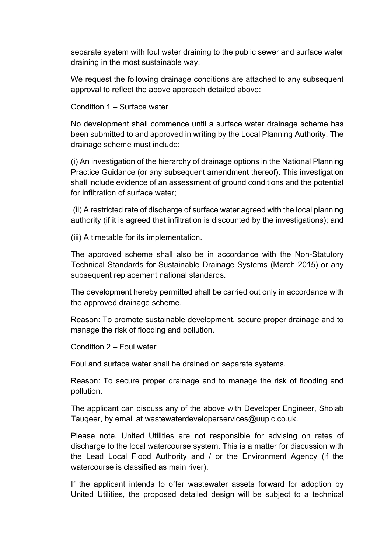separate system with foul water draining to the public sewer and surface water draining in the most sustainable way.

We request the following drainage conditions are attached to any subsequent approval to reflect the above approach detailed above:

Condition 1 – Surface water

No development shall commence until a surface water drainage scheme has been submitted to and approved in writing by the Local Planning Authority. The drainage scheme must include:

(i) An investigation of the hierarchy of drainage options in the National Planning Practice Guidance (or any subsequent amendment thereof). This investigation shall include evidence of an assessment of ground conditions and the potential for infiltration of surface water;

(ii) A restricted rate of discharge of surface water agreed with the local planning authority (if it is agreed that infiltration is discounted by the investigations); and

(iii) A timetable for its implementation.

The approved scheme shall also be in accordance with the Non-Statutory Technical Standards for Sustainable Drainage Systems (March 2015) or any subsequent replacement national standards.

The development hereby permitted shall be carried out only in accordance with the approved drainage scheme.

Reason: To promote sustainable development, secure proper drainage and to manage the risk of flooding and pollution.

Condition 2 – Foul water

Foul and surface water shall be drained on separate systems.

Reason: To secure proper drainage and to manage the risk of flooding and pollution.

The applicant can discuss any of the above with Developer Engineer, Shoiab Tauqeer, by email at wastewaterdeveloperservices@uuplc.co.uk.

Please note, United Utilities are not responsible for advising on rates of discharge to the local watercourse system. This is a matter for discussion with the Lead Local Flood Authority and / or the Environment Agency (if the watercourse is classified as main river).

If the applicant intends to offer wastewater assets forward for adoption by United Utilities, the proposed detailed design will be subject to a technical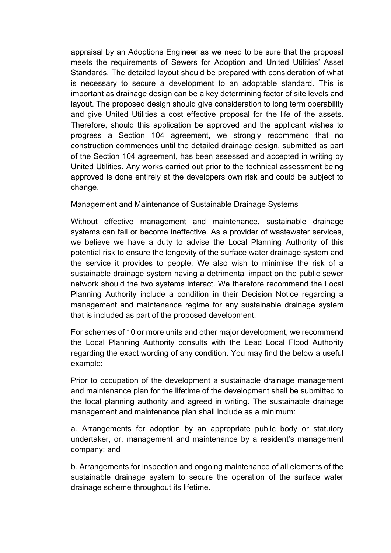appraisal by an Adoptions Engineer as we need to be sure that the proposal meets the requirements of Sewers for Adoption and United Utilities' Asset Standards. The detailed layout should be prepared with consideration of what is necessary to secure a development to an adoptable standard. This is important as drainage design can be a key determining factor of site levels and layout. The proposed design should give consideration to long term operability and give United Utilities a cost effective proposal for the life of the assets. Therefore, should this application be approved and the applicant wishes to progress a Section 104 agreement, we strongly recommend that no construction commences until the detailed drainage design, submitted as part of the Section 104 agreement, has been assessed and accepted in writing by United Utilities. Any works carried out prior to the technical assessment being approved is done entirely at the developers own risk and could be subject to change.

# Management and Maintenance of Sustainable Drainage Systems

Without effective management and maintenance, sustainable drainage systems can fail or become ineffective. As a provider of wastewater services, we believe we have a duty to advise the Local Planning Authority of this potential risk to ensure the longevity of the surface water drainage system and the service it provides to people. We also wish to minimise the risk of a sustainable drainage system having a detrimental impact on the public sewer network should the two systems interact. We therefore recommend the Local Planning Authority include a condition in their Decision Notice regarding a management and maintenance regime for any sustainable drainage system that is included as part of the proposed development.

For schemes of 10 or more units and other major development, we recommend the Local Planning Authority consults with the Lead Local Flood Authority regarding the exact wording of any condition. You may find the below a useful example:

Prior to occupation of the development a sustainable drainage management and maintenance plan for the lifetime of the development shall be submitted to the local planning authority and agreed in writing. The sustainable drainage management and maintenance plan shall include as a minimum:

a. Arrangements for adoption by an appropriate public body or statutory undertaker, or, management and maintenance by a resident's management company; and

b. Arrangements for inspection and ongoing maintenance of all elements of the sustainable drainage system to secure the operation of the surface water drainage scheme throughout its lifetime.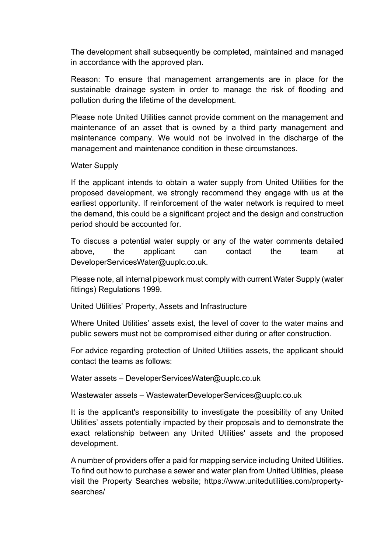The development shall subsequently be completed, maintained and managed in accordance with the approved plan.

Reason: To ensure that management arrangements are in place for the sustainable drainage system in order to manage the risk of flooding and pollution during the lifetime of the development.

Please note United Utilities cannot provide comment on the management and maintenance of an asset that is owned by a third party management and maintenance company. We would not be involved in the discharge of the management and maintenance condition in these circumstances.

## Water Supply

If the applicant intends to obtain a water supply from United Utilities for the proposed development, we strongly recommend they engage with us at the earliest opportunity. If reinforcement of the water network is required to meet the demand, this could be a significant project and the design and construction period should be accounted for.

To discuss a potential water supply or any of the water comments detailed above, the applicant can contact the team at DeveloperServicesWater@uuplc.co.uk.

Please note, all internal pipework must comply with current Water Supply (water fittings) Regulations 1999.

United Utilities' Property, Assets and Infrastructure

Where United Utilities' assets exist, the level of cover to the water mains and public sewers must not be compromised either during or after construction.

For advice regarding protection of United Utilities assets, the applicant should contact the teams as follows:

Water assets – DeveloperServicesWater@uuplc.co.uk

Wastewater assets – WastewaterDeveloperServices@uuplc.co.uk

It is the applicant's responsibility to investigate the possibility of any United Utilities' assets potentially impacted by their proposals and to demonstrate the exact relationship between any United Utilities' assets and the proposed development.

A number of providers offer a paid for mapping service including United Utilities. To find out how to purchase a sewer and water plan from United Utilities, please visit the Property Searches website; https://www.unitedutilities.com/propertysearches/